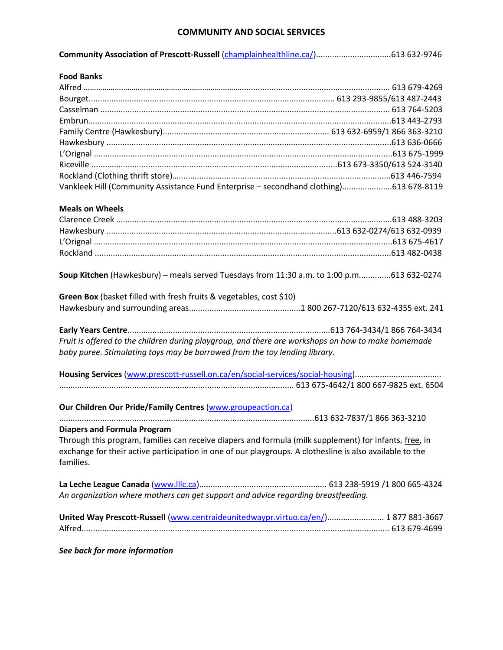### **COMMUNITY AND SOCIAL SERVICES**

| Community Association of Prescott-Russell (champlainhealthline.ca/)613 632-9746 |  |  |
|---------------------------------------------------------------------------------|--|--|
|---------------------------------------------------------------------------------|--|--|

| <b>Food Banks</b>                                                                      |  |
|----------------------------------------------------------------------------------------|--|
|                                                                                        |  |
|                                                                                        |  |
|                                                                                        |  |
|                                                                                        |  |
|                                                                                        |  |
|                                                                                        |  |
|                                                                                        |  |
|                                                                                        |  |
|                                                                                        |  |
| Vankleek Hill (Community Assistance Fund Enterprise - secondhand clothing)613 678-8119 |  |

#### **Meals on Wheels**

**Soup Kitchen** (Hawkesbury) – meals served Tuesdays from 11:30 a.m. to 1:00 p.m..............613 632-0274

| Green Box (basket filled with fresh fruits & vegetables, cost \$10) |  |
|---------------------------------------------------------------------|--|
|                                                                     |  |

**Early Years Centre**.........................................................................................613 764-3434/1 866 764-3434 *Fruit is offered to the children during playgroup, and there are workshops on how to make homemade baby puree. Stimulating toys may be borrowed from the toy lending library.*

**Housing Services** (www.prescott-russell.on.ca/en/social-services/social-housing)...................................... ....................................................................................................... 613 675-4642/1 800 667-9825 ext. 6504

**Our Children Our Pride/Family Centres** [\(www.groupeaction.ca\)](http://www.groupeaction.ca/) ................................................................................................................613 632-7837/1 866 363-3210 **Diapers and Formula Program**

Through this program, families can receive diapers and formula (milk supplement) for infants, free, in exchange for their active participation in one of our playgroups. A clothesline is also available to the families.

**La Leche League Canada** [\(www.lllc.ca\)](http://www.lllc.ca/)........................................................ 613 238-5919 /1 800 665-4324 *An organization where mothers can get support and advice regarding breastfeeding.*

| United Way Prescott-Russell (www.centraideunitedwaypr.virtuo.ca/en/) 1877 881-3667 |  |
|------------------------------------------------------------------------------------|--|
|                                                                                    |  |

*See back for more information*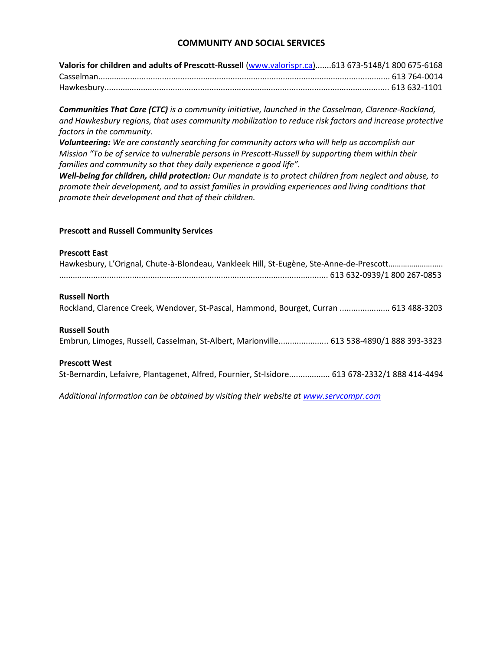## **COMMUNITY AND SOCIAL SERVICES**

| Valoris for children and adults of Prescott-Russell (www.valorispr.ca)613 673-5148/1 800 675-6168 |  |
|---------------------------------------------------------------------------------------------------|--|
|                                                                                                   |  |
|                                                                                                   |  |

*Communities That Care (CTC) is a community initiative, launched in the Casselman, Clarence-Rockland, and Hawkesbury regions, that uses community mobilization to reduce risk factors and increase protective factors in the community.*

*Volunteering: We are constantly searching for community actors who will help us accomplish our Mission "To be of service to vulnerable persons in Prescott-Russell by supporting them within their families and community so that they daily experience a good life".*

*Well-being for children, child protection: Our mandate is to protect children from neglect and abuse, to promote their development, and to assist families in providing experiences and living conditions that promote their development and that of their children.*

#### **Prescott and Russell Community Services**

#### **Prescott East**

| Hawkesbury, L'Orignal, Chute-à-Blondeau, Vankleek Hill, St-Eugène, Ste-Anne-de-Prescott       |
|-----------------------------------------------------------------------------------------------|
| <b>Russell North</b>                                                                          |
| Rockland, Clarence Creek, Wendover, St-Pascal, Hammond, Bourget, Curran  613 488-3203         |
|                                                                                               |
|                                                                                               |
| <b>Russell South</b>                                                                          |
| Embrun, Limoges, Russell, Casselman, St-Albert, Marionville 613 538-4890/1 888 393-3323       |
|                                                                                               |
| <b>Prescott West</b>                                                                          |
| St-Bernardin, Lefaivre, Plantagenet, Alfred, Fournier, St-Isidore 613 678-2332/1 888 414-4494 |
|                                                                                               |
|                                                                                               |

*Additional information can be obtained by visiting their website at [www.servcompr.com](http://www.servcompr.com/)*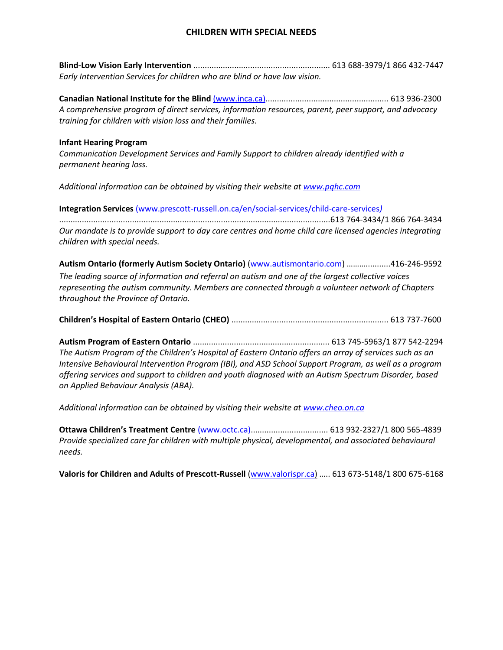## **CHILDREN WITH SPECIAL NEEDS**

**Blind-Low Vision Early Intervention** ............................................................ 613 688-3979/1 866 432-7447 *Early Intervention Services for children who are blind or have low vision.* 

**Canadian National Institute for the Blind** [\(www.inca.ca\)](http://www.inca.ca/)...................................................... 613 936-2300 *A comprehensive program of direct services, information resources, parent, peer support, and advocacy training for children with vision loss and their families.* 

#### **Infant Hearing Program**

*Communication Development Services and Family Support to children already identified with a permanent hearing loss.*

*Additional information can be obtained by visiting their website at [www.pqhc.com](http://www.pqhc.com/)*

**Integration Services** [\(www.prescott-russell.on.ca/en/social-services/child-care-services](http://www.prescott-russell.on.ca/en/social-services/child-care-services)*)* 

.......................................................................................................................613 764-3434/1 866 764-3434 *Our mandate is to provide support to day care centres and home child care licensed agencies integrating children with special needs.*

**Autism Ontario (formerly Autism Society Ontario)** [\(www.autismontario.com\)](http://www.autismontario.com/) ………...........416-246-9592 *The leading source of information and referral on autism and one of the largest collective voices representing the autism community. Members are connected through a volunteer network of Chapters throughout the Province of Ontario.*

|--|--|--|

**Autism Program of Eastern Ontario** ............................................................ 613 745-5963/1 877 542-2294 *The Autism Program of the Children's Hospital of Eastern Ontario offers an array of services such as an Intensive Behavioural Intervention Program (IBI), and ASD School Support Program, as well as a program offering services and support to children and youth diagnosed with an Autism Spectrum Disorder, based on Applied Behaviour Analysis (ABA).*

*Additional information can be obtained by visiting their website at www.cheo.on.ca*

**Ottawa Children's Treatment Centre** (www.octc.ca).................................. 613 932-2327/1 800 565-4839 *Provide specialized care for children with multiple physical, developmental, and associated behavioural needs.*

**Valoris for Children and Adults of Prescott-Russell** [\(www.valorispr.ca\)](http://www.valorispr.ca/) ….. 613 673-5148/1 800 675-6168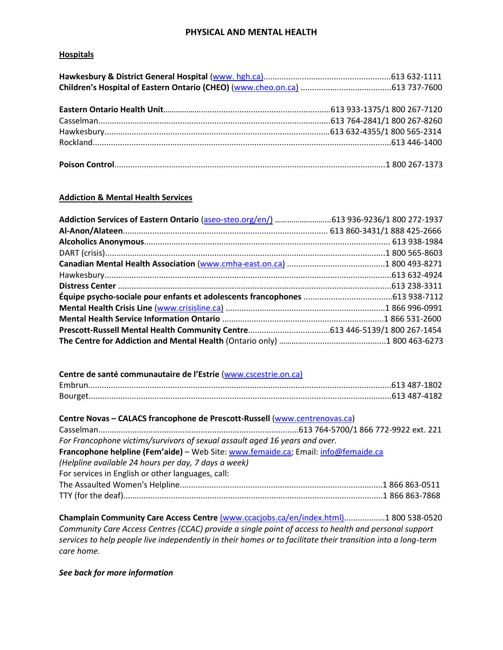### **PHYSICAL AND MENTAL HEALTH**

#### **Hospitals**

#### **Addiction & Mental Health Services**

| Addiction Services of Eastern Ontario (aseo-steo.org/en/) 613 936-9236/1 800 272-1937 |  |
|---------------------------------------------------------------------------------------|--|
|                                                                                       |  |
|                                                                                       |  |
|                                                                                       |  |
|                                                                                       |  |
|                                                                                       |  |
|                                                                                       |  |
|                                                                                       |  |
|                                                                                       |  |
|                                                                                       |  |
|                                                                                       |  |
|                                                                                       |  |

| Centre de santé communautaire de l'Estrie (www.cscestrie.on.ca) |  |
|-----------------------------------------------------------------|--|
|                                                                 |  |
|                                                                 |  |

| Centre Novas - CALACS francophone de Prescott-Russell (www.centrenovas.ca)         |  |  |
|------------------------------------------------------------------------------------|--|--|
|                                                                                    |  |  |
| For Francophone victims/survivors of sexual assault aged 16 years and over.        |  |  |
| Francophone helpline (Fem'aide) - Web Site: www.femaide.ca; Email: info@femaide.ca |  |  |
| (Helpline available 24 hours per day, 7 days a week)                               |  |  |
| For services in English or other languages, call:                                  |  |  |
|                                                                                    |  |  |
|                                                                                    |  |  |
|                                                                                    |  |  |

**Champlain Community Care Access Centre** (www.ccacjobs.ca/en/index.html)..................1 800 538-0520 *Community Care Access Centres (CCAC) provide a single point of access to health and personal support services to help people live independently in their homes or to facilitate their transition into a long-term care home.*

*See back for more information*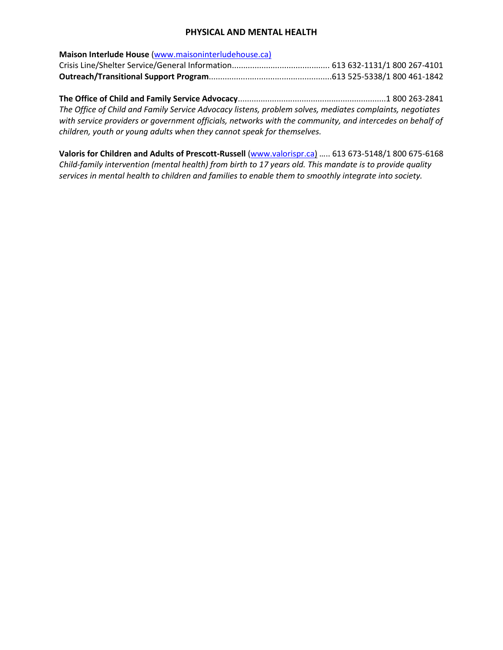### **PHYSICAL AND MENTAL HEALTH**

| Maison Interlude House (www.maisoninterludehouse.ca) |  |
|------------------------------------------------------|--|
|                                                      |  |
|                                                      |  |

**The Office of Child and Family Service Advocacy**.................................................................1 800 263-2841 *The Office of Child and Family Service Advocacy listens, problem solves, mediates complaints, negotiates with service providers or government officials, networks with the community, and intercedes on behalf of children, youth or young adults when they cannot speak for themselves.* 

**Valoris for Children and Adults of Prescott-Russell** [\(www.valorispr.ca\)](http://www.valorispr.ca/) ….. 613 673-5148/1 800 675-6168 *Child-family intervention (mental health) from birth to 17 years old. This mandate is to provide quality services in mental health to children and families to enable them to smoothly integrate into society.*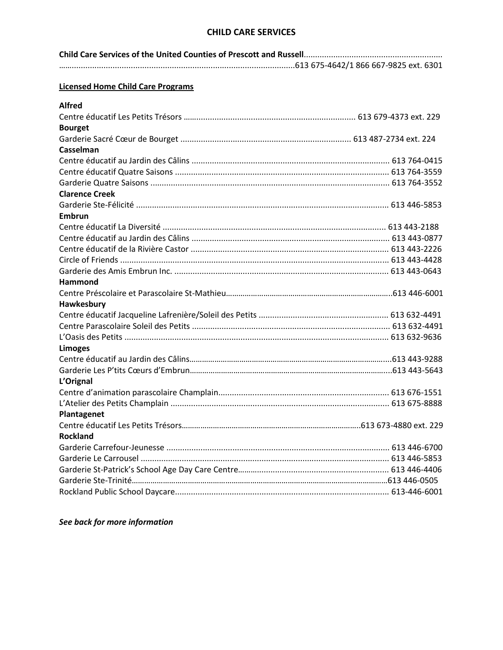### **CHILD CARE SERVICES**

| <b>Licensed Home Child Care Programs</b> |  |  |  |
|------------------------------------------|--|--|--|
| <b>Alfred</b>                            |  |  |  |
|                                          |  |  |  |
| <b>Bourget</b>                           |  |  |  |
|                                          |  |  |  |
| Casselman                                |  |  |  |
|                                          |  |  |  |
|                                          |  |  |  |
|                                          |  |  |  |
| <b>Clarence Creek</b>                    |  |  |  |
|                                          |  |  |  |
| <b>Embrun</b>                            |  |  |  |
|                                          |  |  |  |
|                                          |  |  |  |
|                                          |  |  |  |
|                                          |  |  |  |
|                                          |  |  |  |
| Hammond                                  |  |  |  |
|                                          |  |  |  |
| Hawkesbury                               |  |  |  |
|                                          |  |  |  |
|                                          |  |  |  |
|                                          |  |  |  |
| <b>Limoges</b>                           |  |  |  |
|                                          |  |  |  |
|                                          |  |  |  |
| L'Orignal                                |  |  |  |
|                                          |  |  |  |
|                                          |  |  |  |
| <b>Plantagenet</b>                       |  |  |  |
|                                          |  |  |  |
| <b>Rockland</b>                          |  |  |  |
|                                          |  |  |  |
|                                          |  |  |  |
|                                          |  |  |  |
|                                          |  |  |  |
|                                          |  |  |  |
|                                          |  |  |  |

*See back for more information*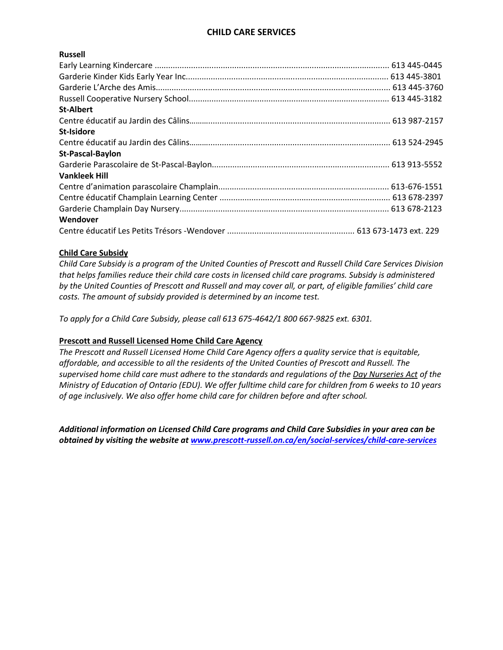# **CHILD CARE SERVICES**

#### **Russell**

| <b>St-Albert</b>     |  |
|----------------------|--|
|                      |  |
| <b>St-Isidore</b>    |  |
|                      |  |
| St-Pascal-Baylon     |  |
|                      |  |
| <b>Vankleek Hill</b> |  |
|                      |  |
|                      |  |
|                      |  |
| Wendover             |  |
|                      |  |

#### **Child Care Subsidy**

*Child Care Subsidy is a program of the United Counties of Prescott and Russell Child Care Services Division that helps families reduce their child care costs in licensed child care programs. Subsidy is administered by the United Counties of Prescott and Russell and may cover all, or part, of eligible families' child care costs. The amount of subsidy provided is determined by an income test.*

*To apply for a Child Care Subsidy, please call 613 675-4642/1 800 667-9825 ext. 6301.*

#### **Prescott and Russell Licensed Home Child Care Agency**

*The Prescott and Russell Licensed Home Child Care Agency offers a quality service that is equitable, affordable, and accessible to all the residents of the United Counties of Prescott and Russell. The supervised home child care must adhere to the standards and regulations of the Day Nurseries Act of the Ministry of Education of Ontario (EDU). We offer fulltime child care for children from 6 weeks to 10 years of age inclusively. We also offer home child care for children before and after school.*

*Additional information on Licensed Child Care programs and Child Care Subsidies in your area can be obtained by visiting the website at [www.prescott-russell.on.ca/en/social-services/child-care-services](http://www.prescott-russell.on.ca/en/social-services/child-care-services)*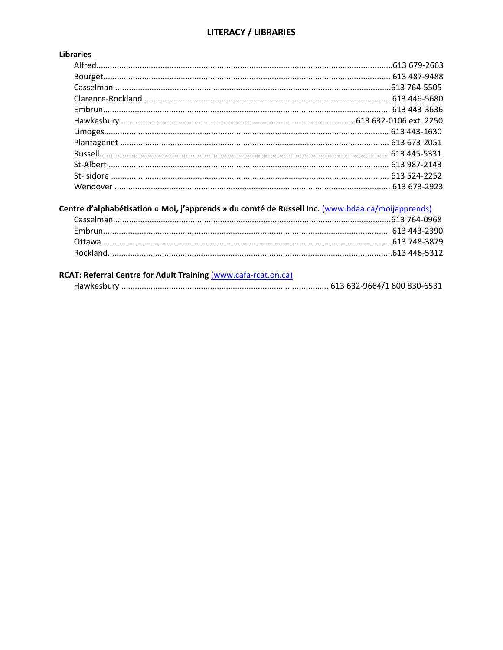# **LITERACY / LIBRARIES**

# **Libraries**

# Centre d'alphabétisation « Moi, j'apprends » du comté de Russell Inc. (www.bdaa.ca/moijapprends)

| RCAT: Referral Centre for Adult Training (www.cafa-rcat.on.ca) |  |
|----------------------------------------------------------------|--|
|                                                                |  |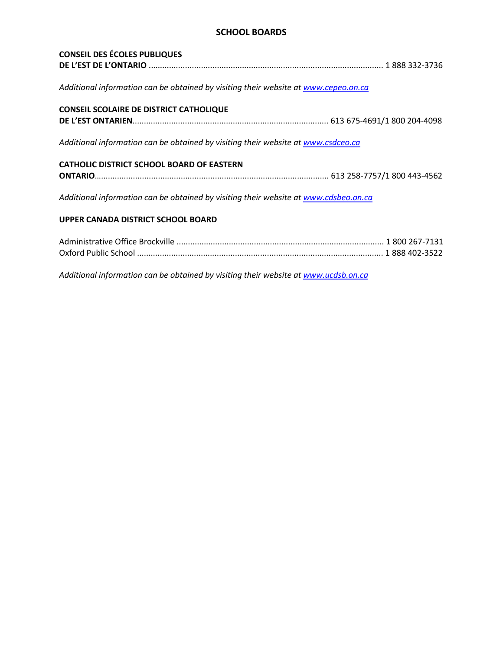## **SCHOOL BOARDS**

| <b>CONSEIL DES ÉCOLES PUBLIQUES</b>                                                  |  |
|--------------------------------------------------------------------------------------|--|
| Additional information can be obtained by visiting their website at www.cepeo.on.ca  |  |
| <b>CONSEIL SCOLAIRE DE DISTRICT CATHOLIQUE</b>                                       |  |
|                                                                                      |  |
| Additional information can be obtained by visiting their website at www.csdceo.ca    |  |
| <b>CATHOLIC DISTRICT SCHOOL BOARD OF EASTERN</b>                                     |  |
|                                                                                      |  |
| Additional information can be obtained by visiting their website at www.cdsbeo.on.ca |  |
| UPPER CANADA DISTRICT SCHOOL BOARD                                                   |  |
|                                                                                      |  |

*Additional information can be obtained by visiting their website at www.ucdsb.on.ca*